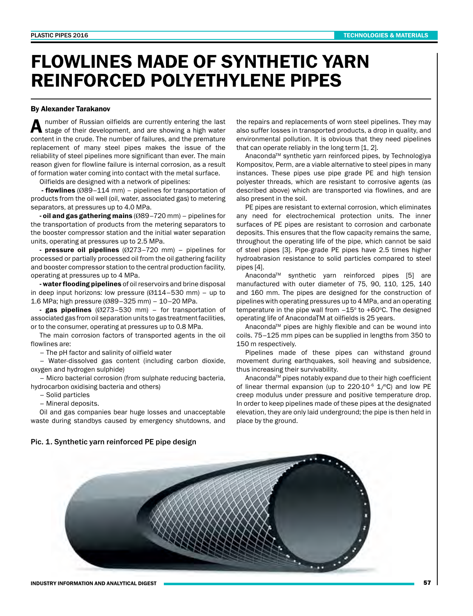## FLOWLINES MADE OF SYNTHETIC YARN REINFORCED POLYETHYLENE PIPES

## By Alexander Tarakanov

A number of Russian oilfields are currently entering the last stage of their development, and are showing a high water content in the crude. The number of failures, and the premature replacement of many steel pipes makes the issue of the reliability of steel pipelines more significant than ever. The main reason given for flowline failure is internal corrosion, as a result of formation water coming into contact with the metal surface.

Oilfields are designed with a network of pipelines:

- flowlines (Ø89–114 mm) – pipelines for transportation of products from the oil well (oil, water, associated gas) to metering separators, at pressures up to 4.0 MPa.

- oil and gas gathering mains  $(089 - 720 \text{ mm})$  – pipelines for the transportation of products from the metering separators to the booster compressor station and the initial water separation units, operating at pressures up to 2.5 MPa.

- pressure oil pipelines  $(0273-720 \text{ mm})$  – pipelines for processed or partially processed oil from the oil gathering facility and booster compressor station to the central production facility, operating at pressures up to 4 MPa.

- water flooding pipelines of oil reservoirs and brine disposal in deep input horizons: low pressure  $(Ø114–530$  mm) – up to 1.6 MPa; high pressure (Ø89–325 mm) – 10–20 MPa.

- gas pipelines  $(Ø273-530$  mm) – for transportation of associated gas from oil separation units to gas treatment facilities, or to the consumer, operating at pressures up to 0.8 MPa.

The main corrosion factors of transported agents in the oil flowlines are:

– The pH factor and salinity of oilfield water

– Water-dissolved gas content (including carbon dioxide, oxygen and hydrogen sulphide)

– Micro bacterial corrosion (from sulphate reducing bacteria, hydrocarbon oxidising bacteria and others)

– Solid particles

– Mineral deposits.

Oil and gas companies bear huge losses and unacceptable waste during standbys caused by emergency shutdowns, and the repairs and replacements of worn steel pipelines. They may also suffer losses in transported products, a drop in quality, and environmental pollution. It is obvious that they need pipelines that can operate reliably in the long term [1, 2].

Anaconda<sup>™</sup> synthetic yarn reinforced pipes, by Technologiya Kompositov, Perm, are a viable alternative to steel pipes in many instances. These pipes use pipe grade PE and high tension polyester threads, which are resistant to corrosive agents (as described above) which are transported via flowlines, and are also present in the soil.

PE pipes are resistant to external corrosion, which eliminates any need for electrochemical protection units. The inner surfaces of PE pipes are resistant to corrosion and carbonate deposits. This ensures that the flow capacity remains the same, throughout the operating life of the pipe, which cannot be said of steel pipes [3]. Pipe-grade PE pipes have 2.5 times higher hydroabrasion resistance to solid particles compared to steel pipes [4].

Anaconda<sup>™</sup> synthetic yarn reinforced pipes [5] are manufactured with outer diameter of 75, 90, 110, 125, 140 and 160 mm. The pipes are designed for the construction of pipelines with operating pressures up to 4 MPa, and an operating temperature in the pipe wall from  $-15^{\circ}$  to  $+60^{\circ}$ C. The designed operating life of AnacondaTM at oilfields is 25 years.

Anaconda<sup>™</sup> pipes are highly flexible and can be wound into coils. 75–125 mm pipes can be supplied in lengths from 350 to 150 m respectively.

Pipelines made of these pipes can withstand ground movement during earthquakes, soil heaving and subsidence, thus increasing their survivability.

Anaconda<sup>™</sup> pipes notably expand due to their high coefficient of linear thermal expansion (up to  $220 \cdot 10^{-6}$  1/ $\degree$ C) and low PE creep modulus under pressure and positive temperature drop. In order to keep pipelines made of these pipes at the designated elevation, they are only laid underground; the pipe is then held in place by the ground.